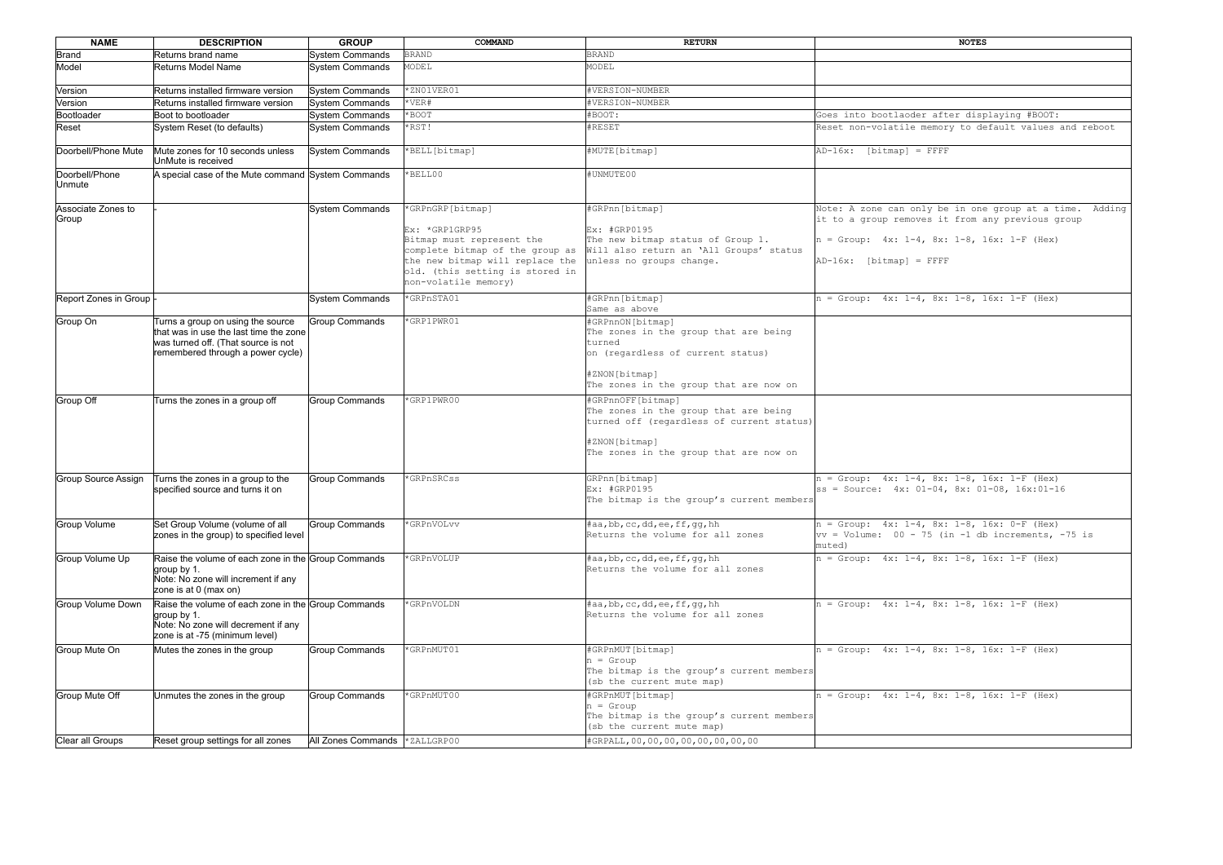| <b>NAME</b>                 | <b>DESCRIPTION</b>                                                                                                                                      | <b>GROUP</b>                  | COMMAND                                                                                                                                                                                          | <b>RETURN</b>                                                                                                                                                       | <b>NOTES</b>                                                                                                                                                                               |
|-----------------------------|---------------------------------------------------------------------------------------------------------------------------------------------------------|-------------------------------|--------------------------------------------------------------------------------------------------------------------------------------------------------------------------------------------------|---------------------------------------------------------------------------------------------------------------------------------------------------------------------|--------------------------------------------------------------------------------------------------------------------------------------------------------------------------------------------|
| Brand                       | Returns brand name                                                                                                                                      | <b>System Commands</b>        | <b>BRAND</b>                                                                                                                                                                                     | <b>BRAND</b>                                                                                                                                                        |                                                                                                                                                                                            |
| Model                       | Returns Model Name                                                                                                                                      | <b>System Commands</b>        | MODEL                                                                                                                                                                                            | MODEL                                                                                                                                                               |                                                                                                                                                                                            |
| Version                     | Returns installed firmware version                                                                                                                      | <b>System Commands</b>        | *ZN01VER01                                                                                                                                                                                       | #VERSION-NUMBER                                                                                                                                                     |                                                                                                                                                                                            |
| Version                     | Returns installed firmware version                                                                                                                      | <b>System Commands</b>        | $*$ VER#                                                                                                                                                                                         | #VERSION-NUMBER                                                                                                                                                     |                                                                                                                                                                                            |
| Bootloader                  | Boot to bootloader                                                                                                                                      | System Commands               | *BOOT                                                                                                                                                                                            | #BOOT:                                                                                                                                                              | Goes into bootlaoder after displaying #BOOT:                                                                                                                                               |
| Reset                       | System Reset (to defaults)                                                                                                                              | <b>System Commands</b>        | *RST!                                                                                                                                                                                            | #RESET                                                                                                                                                              | Reset non-volatile memory to default values and reboot                                                                                                                                     |
| Doorbell/Phone Mute         | Mute zones for 10 seconds unless<br>UnMute is received                                                                                                  | <b>System Commands</b>        | *BELL[bitmap]                                                                                                                                                                                    | #MUTE[bitmap]                                                                                                                                                       | $AD-16x$ : [bitmap] = FFFF                                                                                                                                                                 |
| Doorbell/Phone<br>Unmute    | A special case of the Mute command System Commands                                                                                                      |                               | *BELL00                                                                                                                                                                                          | #UNMUTE00                                                                                                                                                           |                                                                                                                                                                                            |
| Associate Zones to<br>Group |                                                                                                                                                         | System Commands               | *GRPnGRP[bitmap]<br>Ex: *GRP1GRP95<br>Bitmap must represent the<br>complete bitmap of the group as<br>the new bitmap will replace the<br>old. (this setting is stored in<br>non-volatile memory) | #GRPnn[bitmap]<br>Ex: #GRP0195<br>The new bitmap status of Group 1.<br>Will also return an 'All Groups' status<br>unless no groups change.                          | Note: A zone can only be in one group at a time. Adding<br>it to a group removes it from any previous group<br>$n = Group: 4x: 1-4, 8x: 1-8, 16x: 1-F (Hex)$<br>$[AD-16x: [bitmap] = FFFF$ |
| Report Zones in Group  -    |                                                                                                                                                         | System Commands               | *GRPnSTA01                                                                                                                                                                                       | #GRPnn[bitmap]<br>Same as above                                                                                                                                     | $n = Group: 4x: 1-4, 8x: 1-8, 16x: 1-F (Hex)$                                                                                                                                              |
| Group On                    | Turns a group on using the source<br>that was in use the last time the zone<br>was turned off. (That source is not<br>remembered through a power cycle) | Group Commands                | *GRP1PWR01                                                                                                                                                                                       | #GRPnnON[bitmap]<br>The zones in the group that are being<br>turned<br>on (regardless of current status)<br>#ZNON[bitmap]<br>The zones in the group that are now on |                                                                                                                                                                                            |
| Group Off                   | Turns the zones in a group off                                                                                                                          | <b>Group Commands</b>         | *GRP1PWR00                                                                                                                                                                                       | #GRPnnOFF[bitmap]<br>The zones in the group that are being<br>turned off (regardless of current status)<br>#ZNON[bitmap]<br>The zones in the group that are now on  |                                                                                                                                                                                            |
| Group Source Assign         | Turns the zones in a group to the<br>specified source and turns it on                                                                                   | <b>Group Commands</b>         | *GRPnSRCss                                                                                                                                                                                       | GRPnn[bitmap]<br>Ex: #GRP0195<br>The bitmap is the group's current members                                                                                          | $n = Group: 4x: 1-4, 8x: 1-8, 16x: 1-F (Hex)$<br>$ ss = Source: 4x: 01-04, 8x: 01-08, 16x:01-16$                                                                                           |
| Group Volume                | Set Group Volume (volume of all<br>zones in the group) to specified level                                                                               | Group Commands                | *GRPnVOLvv                                                                                                                                                                                       | #aa,bb,cc,dd,ee,ff,gg,hh<br>Returns the volume for all zones                                                                                                        | $n = Group: 4x: 1-4, 8x: 1-8, 16x: 0-F (Hex)$<br>$\text{vv}$ = Volume: 00 - 75 (in -1 db increments, -75 is<br>muted)                                                                      |
| Group Volume Up             | Raise the volume of each zone in the Group Commands<br>$\vert$ group by 1.<br>Note: No zone will increment if any<br>zone is at 0 (max on)              |                               | *GRPnVOLUP                                                                                                                                                                                       | $\sharp$ aa, bb, cc, dd, ee, ff, qq, hh<br>Returns the volume for all zones                                                                                         | $n = Group: 4x: 1-4, 8x: 1-8, 16x: 1-F (Hex)$                                                                                                                                              |
| Group Volume Down           | Raise the volume of each zone in the Group Commands<br>aroup by 1.<br>Note: No zone will decrement if any<br>zone is at -75 (minimum level)             |                               | *GRPnVOLDN                                                                                                                                                                                       | #aa,bb, cc,dd, ee,ff, gg, hh<br>Returns the volume for all zones                                                                                                    | $n = Group: 4x: 1-4, 8x: 1-8, 16x: 1-F (Hex)$                                                                                                                                              |
| Group Mute On               | Mutes the zones in the group                                                                                                                            | <b>Group Commands</b>         | *GRPnMUT01                                                                                                                                                                                       | #GRPnMUT[bitmap]<br>$n =$ Group<br>The bitmap is the group's current members<br>(sb the current mute map)                                                           | $n = Group: 4x: 1-4, 8x: 1-8, 16x: 1-F (Hex)$                                                                                                                                              |
| Group Mute Off              | Unmutes the zones in the group                                                                                                                          | <b>Group Commands</b>         | *GRPnMUT00                                                                                                                                                                                       | #GRPnMUT[bitmap]<br>$n =$ Group<br>The bitmap is the group's current members<br>(sb the current mute map)                                                           | $n = Group: 4x: 1-4, 8x: 1-8, 16x: 1-F (Hex)$                                                                                                                                              |
| Clear all Groups            | Reset group settings for all zones                                                                                                                      | All Zones Commands *ZALLGRP00 |                                                                                                                                                                                                  | #GRPALL, 00, 00, 00, 00, 00, 00, 00, 00                                                                                                                             |                                                                                                                                                                                            |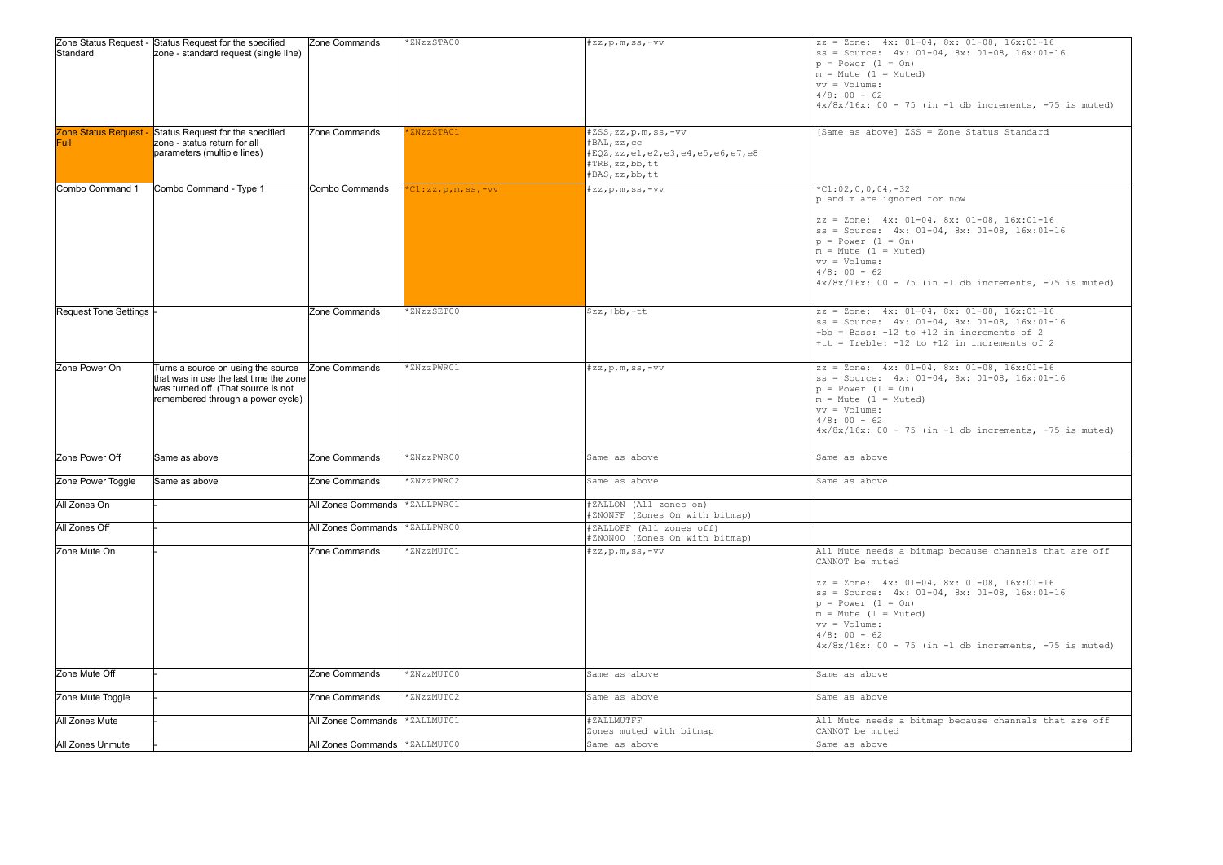| Standard                                  | Zone Status Request - Status Request for the specified<br>zone - standard request (single line)                                                          | Zone Commands      | *ZNzzSTA00                   | $\sharp z z$ , p, m, ss, -vv                                                                                      | $ zz = 2$ one: $4x: 01-0$<br>$ ss = Source: 4x: 01$<br>$ p = Power (1 = On)$<br>$m = Mute$ (1 = Muted)<br>$ vv = Volume:$<br>$4/8: 00 - 62$<br>$\left 4x/8x/16x: 00 - 75 \right $                                       |
|-------------------------------------------|----------------------------------------------------------------------------------------------------------------------------------------------------------|--------------------|------------------------------|-------------------------------------------------------------------------------------------------------------------|-------------------------------------------------------------------------------------------------------------------------------------------------------------------------------------------------------------------------|
| <b>Zone Status Request</b><br><b>Full</b> | Status Request for the specified<br>zone - status return for all<br>parameters (multiple lines)                                                          | Zone Commands      | *ZNzzSTA01                   | #ZSS,zz,p,m,ss,-vv<br>#BAL,zz,cc<br>#EQZ, zz, e1, e2, e3, e4, e5, e6, e7, e8<br>#TRB, zz, bb, tt<br>#BAS,zz,bb,tt | [Same as above] ZSS                                                                                                                                                                                                     |
| Combo Command 1                           | Combo Command - Type 1                                                                                                                                   | Combo Commands     | $*$ C $1:$ zz, p, m, ss, -vv | $#zz,p,m,ss,-vv$                                                                                                  | $*C1:02,0,0,04,-32$<br>p and m are ignored<br>$zz = Zone: 4x: 01-0$<br>$ ss = Source: 4x: 01$<br>$ p = Power (1 = On)$<br>$m = Mute$ (1 = Muted)<br>$ vv = Volume:$<br>$4/8: 00 - 62$<br>$4x/8x/16x$ : 00 - 75 (        |
| <b>Request Tone Settings</b>              |                                                                                                                                                          | Zone Commands      | *ZNzzSET00                   | $$zz$ , +bb, -tt                                                                                                  | $ zz  = 2$ one: $4x: 01-0$<br>$ ss = Source: 4x: 01$<br>$+bb = Bass: -12 to +$<br>$+$ tt = Treble: -12 to                                                                                                               |
| Zone Power On                             | Turns a source on using the source<br>that was in use the last time the zone<br>was turned off. (That source is not<br>remembered through a power cycle) | Zone Commands      | *ZNzzPWR01                   | $#zz, p, m, ss, -vv$                                                                                              | $ zz  = 2$ one: $4x: 01-0$<br>$ ss = Source: 4x: 01$<br>$ p = Power (1 = On)$<br>$ m = Mute$ (1 = Muted)<br>$ vv = Volume:$<br>$4/8: 00 - 62$<br>$4x/8x/16x$ : 00 - 75 (                                                |
| Zone Power Off                            | Same as above                                                                                                                                            | Zone Commands      | *ZNzzPWR00                   | Same as above                                                                                                     | Same as above                                                                                                                                                                                                           |
| Zone Power Toggle                         | Same as above                                                                                                                                            | Zone Commands      | *ZNzzPWR02                   | Same as above                                                                                                     | Same as above                                                                                                                                                                                                           |
| All Zones On                              |                                                                                                                                                          | All Zones Commands | *ZALLPWR01                   | #ZALLON (All zones on)<br>#ZNONFF (Zones On with bitmap)                                                          |                                                                                                                                                                                                                         |
| All Zones Off                             |                                                                                                                                                          | All Zones Commands | *ZALLPWR00                   | #ZALLOFF (All zones off)<br>#ZNON00 (Zones On with bitmap)                                                        |                                                                                                                                                                                                                         |
| Zone Mute On                              |                                                                                                                                                          | Zone Commands      | *ZNzzMUT01                   | $#zz, p, m, ss, -vv$                                                                                              | All Mute needs a bit<br>CANNOT be muted<br>$ zz = \text{Zone:} 4x: 01-0$<br>$ ss = Source: 4x: 01$<br>$ p = Power (1 = On)$<br>$ m = Mute$ (1 = Muted)<br>$ vv = Volume:$<br>$4/8$ : 00 - 62<br>$4x/8x/16x$ : 00 - 75 ( |
| Zone Mute Off                             |                                                                                                                                                          | Zone Commands      | *ZNzzMUT00                   | Same as above                                                                                                     | Same as above                                                                                                                                                                                                           |
| Zone Mute Toggle                          |                                                                                                                                                          | Zone Commands      | *ZNzzMUT02                   | Same as above                                                                                                     | Same as above                                                                                                                                                                                                           |
| All Zones Mute                            |                                                                                                                                                          | All Zones Commands | *ZALLMUT01                   | #ZALLMUTFF<br>Zones muted with bitmap                                                                             | All Mute needs a bit<br>CANNOT be muted                                                                                                                                                                                 |
| All Zones Unmute                          |                                                                                                                                                          | All Zones Commands | *ZALLMUT00                   | Same as above                                                                                                     | Same as above                                                                                                                                                                                                           |

```
S = Zone Status Standard
-04, 8x: 01-08, 16x:01-1601-04, 8x: 01-08, 16x:01-16(in -1 db increments, -75 is muted)
 for now
-04, 8x: 01-08, 16x:01-1601-04, 8x: 01-08, 16x:01-16(in -1 db increments, -75 is muted)
-04, 8x: 01-08, 16x:01-160.01-0.4, 8x: 0.1-0.8, 16x:01-16+12 in increments of 2
to +12 in increments of 2
-04, 8x: 01-08, 16x:01-1601-04, 8x: 01-08, 16x:01-16(in -1 db increments, -75 is muted)
It map because channels that are off
-04, 8x: 01-08, 16x:01-1601-04, 8x: 01-08, 16x:01-16(in -1 db increments, -75 is muted)
tmap because channels that are off
```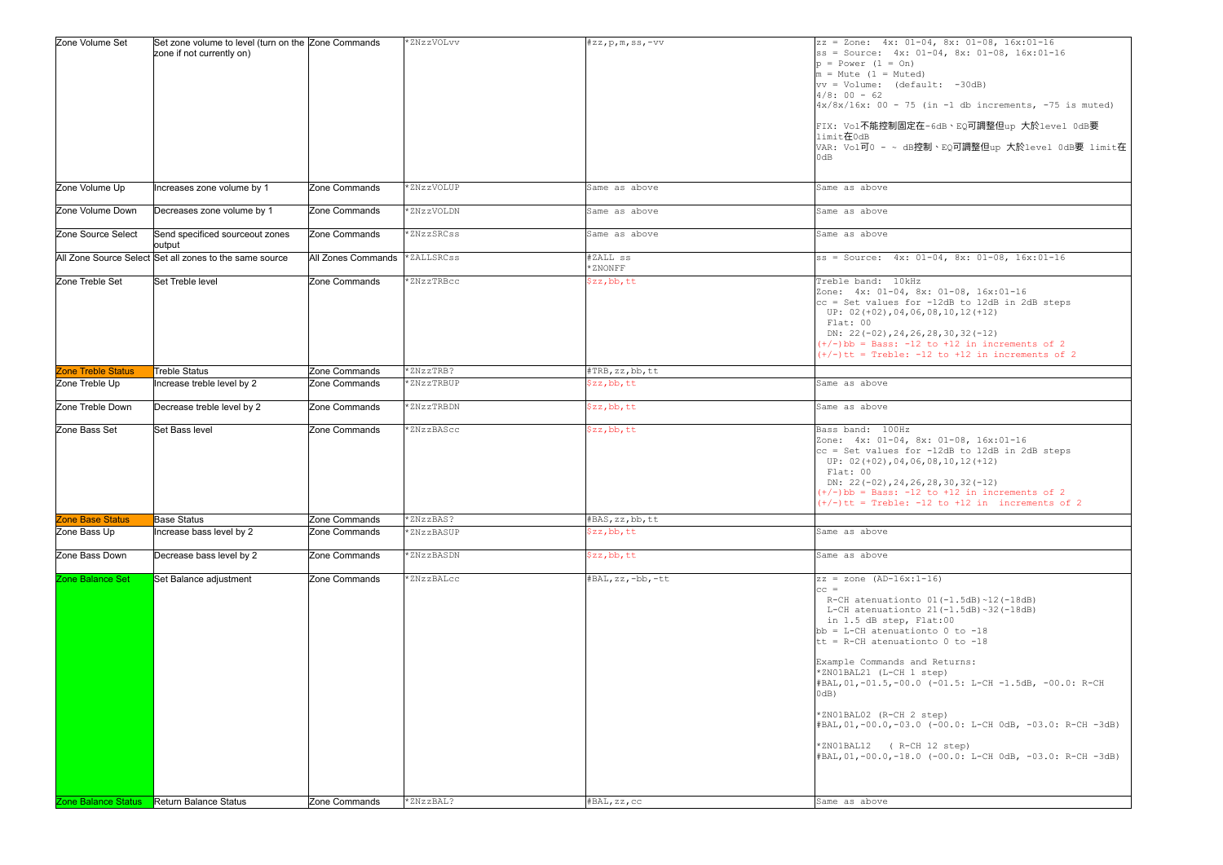| Zone Volume Set           | Set zone volume to level (turn on the Zone Commands<br>zone if not currently on) |                    | *ZNzzVOLvv | $\sharp$ zz, p, m, ss, -vv | $ zz = \text{Zone:} 4x: 01-0$<br>$ ss = Source: 4x: 01$<br>$ p = Power (1 = On)$<br>$m = Mute$ (1 = Muted)<br>$ vv = Volume:$ (defau<br>$4/8:00 - 62$<br>$4x/8x/16x$ : 00 - 75 (<br>FIX: Vol不能控制固定在<br>limit在0dB<br>$\sqrt{\text{VAR: Vol}}$ $\overline{\text{P}}$ 0 – ~ dB控<br>0dB                                                                |
|---------------------------|----------------------------------------------------------------------------------|--------------------|------------|----------------------------|----------------------------------------------------------------------------------------------------------------------------------------------------------------------------------------------------------------------------------------------------------------------------------------------------------------------------------------------------|
| Zone Volume Up            | Increases zone volume by 1                                                       | Zone Commands      | *ZNzzVOLUP | Same as above              | Same as above                                                                                                                                                                                                                                                                                                                                      |
| Zone Volume Down          | Decreases zone volume by 1                                                       | Zone Commands      | *ZNzzVOLDN | Same as above              | Same as above                                                                                                                                                                                                                                                                                                                                      |
| Zone Source Select        | Send specificed sourceout zones<br>output                                        | Zone Commands      | *ZNzzSRCss | Same as above              | Same as above                                                                                                                                                                                                                                                                                                                                      |
|                           | All Zone Source Select Set all zones to the same source                          | All Zones Commands | *ZALLSRCss | #ZALL ss<br>*ZNONFF        | $ ss = Source: 4x: 01$                                                                                                                                                                                                                                                                                                                             |
| Zone Treble Set           | Set Treble level                                                                 | Zone Commands      | *ZNzzTRBcc | \$zz, bb, tt               | Treble band: 10kHz<br>Zone: 4x: 01-04, 8x<br>$ cc $ = Set values for<br>UP: $02 (+02)$ , 04, 06,<br>Flat: 00<br>DN: $22(-02)$ , $24$ , $26$ ,<br>$(+/-)$ bb = Bass: -12<br>$(+/-)$ tt = Treble: -1                                                                                                                                                 |
| <b>Zone Treble Status</b> | <b>Treble Status</b>                                                             | Zone Commands      | *ZNzzTRB?  | #TRB, zz, bb, tt           |                                                                                                                                                                                                                                                                                                                                                    |
| Zone Treble Up            | Increase treble level by 2                                                       | Zone Commands      | *ZNzzTRBUP | \$zz, bb, tt               | Same as above                                                                                                                                                                                                                                                                                                                                      |
| Zone Treble Down          | Decrease treble level by 2                                                       | Zone Commands      | *ZNzzTRBDN | \$zz, bb, tt               | Same as above                                                                                                                                                                                                                                                                                                                                      |
| Zone Bass Set             | Set Bass level                                                                   | Zone Commands      | *ZNzzBAScc | \$zz, bb, tt               | Bass band: 100Hz<br>Zone: 4x: 01-04, 8x<br>$ cc = Set values for$<br>UP: $02 (+02)$ , 04, 06,<br>Flat: 00<br>DN: $22(-02)$ , $24$ , $26$ ,<br>$(+/-)$ bb = Bass: -12<br>$(+/-)$ tt = Treble: -1                                                                                                                                                    |
| <b>Zone Base Status</b>   | <b>Base Status</b>                                                               | Zone Commands      | *ZNzzBAS?  | #BAS, zz, bb, tt           |                                                                                                                                                                                                                                                                                                                                                    |
| Zone Bass Up              | Increase bass level by 2                                                         | Zone Commands      | *ZNzzBASUP | \$zz, bb, tt               | Same as above                                                                                                                                                                                                                                                                                                                                      |
| Zone Bass Down            | Decrease bass level by 2                                                         | Zone Commands      | *ZNzzBASDN | \$zz, bb, tt               | Same as above                                                                                                                                                                                                                                                                                                                                      |
| Zone Balance Set          | Set Balance adjustment                                                           | Zone Commands      | *ZNzzBALcc | #BAL, zz, -bb, -tt         | $ zz  = zone (AD-16x:1-$<br> cc <br>R-CH atenuationto<br>L-CH atenuationto<br>in 1.5 dB step, Fl<br>$bb = L-CH$ atenuation<br>tt = R-CH atenuation<br>Example Commands and<br>*ZNO1BAL21 (L-CH 1 s<br>#BAL,01,-01.5,-00.0<br>$ 0dB\rangle$<br>*ZN01BAL02 (R-CH 2 s<br>(#BAL,01,-00.0,-03.0<br>*ZN01BAL12<br>$(R-CH)$<br>$\#$ BAL, 01, -00.0, -18.0 |
| Zone Balance Status       | Return Balance Status                                                            | Zone Commands      | *ZNzzBAL?  | #BAL, zz, CC               | Same as above                                                                                                                                                                                                                                                                                                                                      |

```
-0.01 - 0.04, 8x: 0.1 - 0.8, 16x: 0.1 - 16-04, 8x: 01-08, 16x:01-1601-04, 8x: 01-08, 16x:01-16\overline{\text{ault:}} -30dB)
(in -1 db increments, -75 is muted)
在-6dB、EQ可調整但up 大於level 0dB要
空制、EQ可調整但up 大於level 0dB要 limit在
8x: 01-08, 16x:01-16
c -12dB to 12dB in 2dB steps
5,08,10,12(+12)5, 28, 30, 32(-12)to +12 in increments of 2
-12 to +12 in increments of 2
8x: 01-08, 16x:01-16
c -12dB to 12dB in 2dB steps
5,08,10,12(+12)5, 28, 30, 32(-12)to +12 in increments of 2
-12 to +12 in increments of 2
-16)01(-1.5dB) ~12(-18dB)
21(-1.5dB)~32(-18dB)Flat:00onto 0 to -18onto 0 to -18nd Returns:
step)
( -01.5: L-CH -1.5dB, -00.0: R-CHstep)
(-00.0: L-CH_0dB, -03.0: R-CH -3dB)12 step)
 (-00.0: L-CH_0dB, -03.0: R-CH -3dB)
```